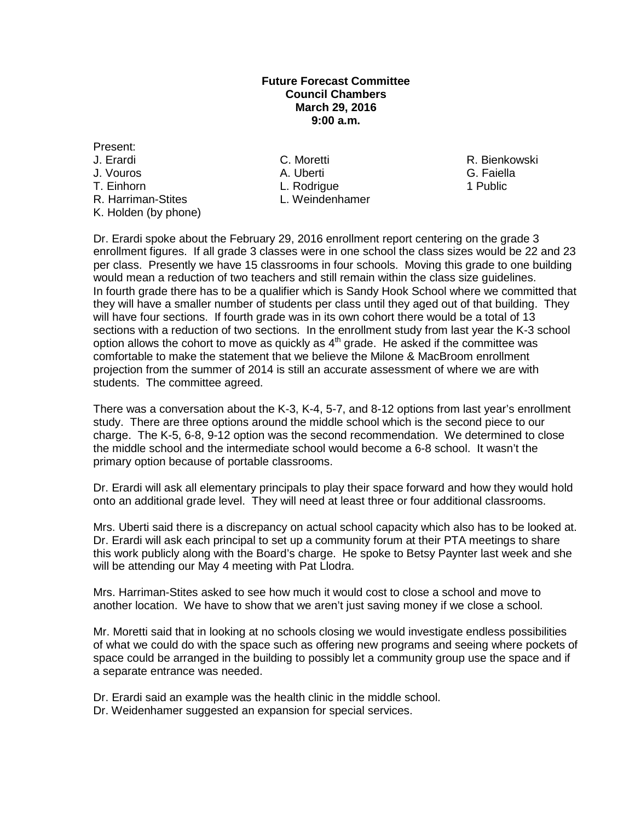## **Future Forecast Committee Council Chambers March 29, 2016 9:00 a.m.**

Present: J. Erardi C. Moretti R. Bienkowski J. Vouros A. Uberti G. Faiella T. Einhorn L. Rodrigue 1 Public R. Harriman-Stites K. Holden (by phone)

Dr. Erardi spoke about the February 29, 2016 enrollment report centering on the grade 3 enrollment figures. If all grade 3 classes were in one school the class sizes would be 22 and 23 per class. Presently we have 15 classrooms in four schools. Moving this grade to one building would mean a reduction of two teachers and still remain within the class size guidelines. In fourth grade there has to be a qualifier which is Sandy Hook School where we committed that they will have a smaller number of students per class until they aged out of that building. They will have four sections. If fourth grade was in its own cohort there would be a total of 13 sections with a reduction of two sections. In the enrollment study from last year the K-3 school option allows the cohort to move as quickly as  $4<sup>th</sup>$  grade. He asked if the committee was comfortable to make the statement that we believe the Milone & MacBroom enrollment projection from the summer of 2014 is still an accurate assessment of where we are with students. The committee agreed.

There was a conversation about the K-3, K-4, 5-7, and 8-12 options from last year's enrollment study. There are three options around the middle school which is the second piece to our charge. The K-5, 6-8, 9-12 option was the second recommendation. We determined to close the middle school and the intermediate school would become a 6-8 school. It wasn't the primary option because of portable classrooms.

Dr. Erardi will ask all elementary principals to play their space forward and how they would hold onto an additional grade level. They will need at least three or four additional classrooms.

Mrs. Uberti said there is a discrepancy on actual school capacity which also has to be looked at. Dr. Erardi will ask each principal to set up a community forum at their PTA meetings to share this work publicly along with the Board's charge. He spoke to Betsy Paynter last week and she will be attending our May 4 meeting with Pat Llodra.

Mrs. Harriman-Stites asked to see how much it would cost to close a school and move to another location. We have to show that we aren't just saving money if we close a school.

Mr. Moretti said that in looking at no schools closing we would investigate endless possibilities of what we could do with the space such as offering new programs and seeing where pockets of space could be arranged in the building to possibly let a community group use the space and if a separate entrance was needed.

Dr. Erardi said an example was the health clinic in the middle school.

Dr. Weidenhamer suggested an expansion for special services.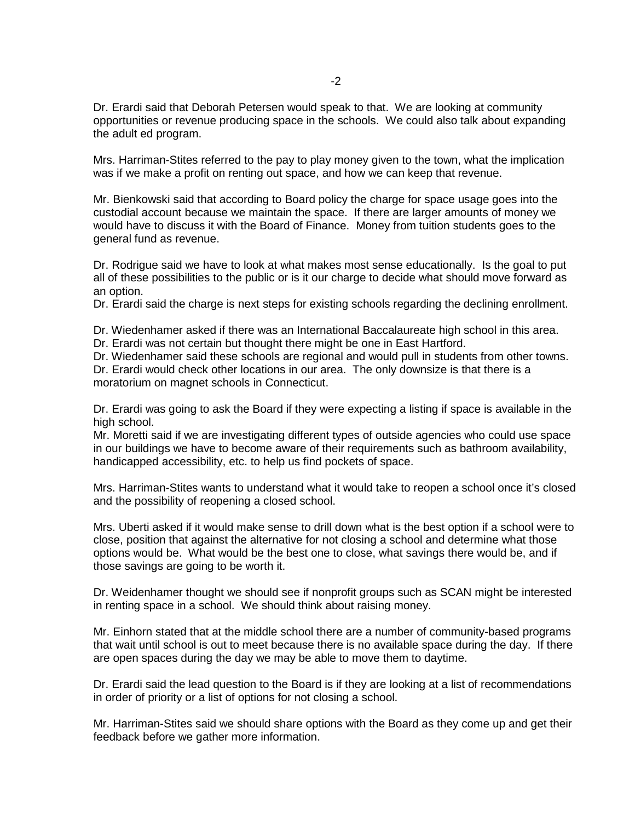Dr. Erardi said that Deborah Petersen would speak to that. We are looking at community opportunities or revenue producing space in the schools. We could also talk about expanding the adult ed program.

Mrs. Harriman-Stites referred to the pay to play money given to the town, what the implication was if we make a profit on renting out space, and how we can keep that revenue.

Mr. Bienkowski said that according to Board policy the charge for space usage goes into the custodial account because we maintain the space. If there are larger amounts of money we would have to discuss it with the Board of Finance. Money from tuition students goes to the general fund as revenue.

Dr. Rodrigue said we have to look at what makes most sense educationally. Is the goal to put all of these possibilities to the public or is it our charge to decide what should move forward as an option.

Dr. Erardi said the charge is next steps for existing schools regarding the declining enrollment.

Dr. Wiedenhamer asked if there was an International Baccalaureate high school in this area.

Dr. Erardi was not certain but thought there might be one in East Hartford.

Dr. Wiedenhamer said these schools are regional and would pull in students from other towns.

Dr. Erardi would check other locations in our area. The only downsize is that there is a moratorium on magnet schools in Connecticut.

Dr. Erardi was going to ask the Board if they were expecting a listing if space is available in the high school.

Mr. Moretti said if we are investigating different types of outside agencies who could use space in our buildings we have to become aware of their requirements such as bathroom availability, handicapped accessibility, etc. to help us find pockets of space.

Mrs. Harriman-Stites wants to understand what it would take to reopen a school once it's closed and the possibility of reopening a closed school.

Mrs. Uberti asked if it would make sense to drill down what is the best option if a school were to close, position that against the alternative for not closing a school and determine what those options would be. What would be the best one to close, what savings there would be, and if those savings are going to be worth it.

Dr. Weidenhamer thought we should see if nonprofit groups such as SCAN might be interested in renting space in a school. We should think about raising money.

Mr. Einhorn stated that at the middle school there are a number of community-based programs that wait until school is out to meet because there is no available space during the day. If there are open spaces during the day we may be able to move them to daytime.

Dr. Erardi said the lead question to the Board is if they are looking at a list of recommendations in order of priority or a list of options for not closing a school.

Mr. Harriman-Stites said we should share options with the Board as they come up and get their feedback before we gather more information.